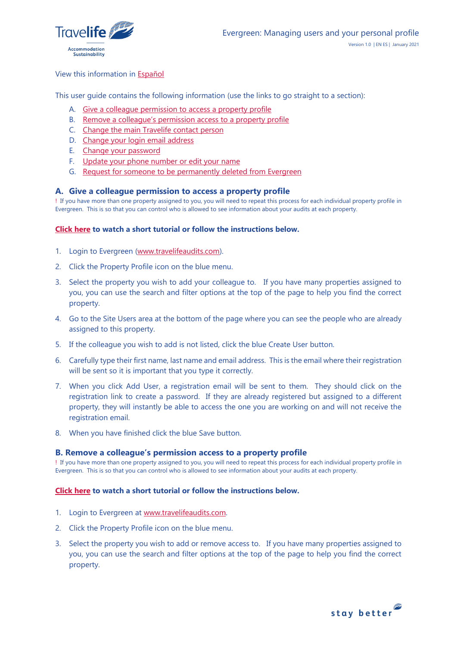

### View this information in [Español](#page-3-0)

This user guide contains the following information (use the links to go straight to a section):

- A. [Give a colleague permission to access a property profile](#page-0-0)
- B. [Remove a colleague's permission access to a property profile](#page-0-1)
- C. [Change the main Travelife contact person](#page-1-0)
- D. [Change your login email address](#page-1-1)
- E. [Change your password](#page-1-2)
- F. [Update your phone number or edit your name](#page-2-0)
- G. [Request for someone to be permanently deleted from Evergreen](#page-2-1)

### <span id="page-0-0"></span>**A. Give a colleague permission to access a property profile**

! If you have more than one property assigned to you, you will need to repeat this process for each individual property profile in Evergreen. This is so that you can control who is allowed to see information about your audits at each property.

# **[Click here](https://youtu.be/LXGxwgAH_Eo) to watch a short tutorial or follow the instructions below.**

- 1. Login to Evergreen [\(www.travelifeaudits.com\)](http://www.travelifeaudits.com/).
- 2. Click the Property Profile icon on the blue menu.
- 3. Select the property you wish to add your colleague to. If you have many properties assigned to you, you can use the search and filter options at the top of the page to help you find the correct property.
- 4. Go to the Site Users area at the bottom of the page where you can see the people who are already assigned to this property.
- 5. If the colleague you wish to add is not listed, click the blue Create User button.
- 6. Carefully type their first name, last name and email address. This is the email where their registration will be sent so it is important that you type it correctly.
- 7. When you click Add User, a registration email will be sent to them. They should click on the registration link to create a password. If they are already registered but assigned to a different property, they will instantly be able to access the one you are working on and will not receive the registration email.
- 8. When you have finished click the blue Save button.

### <span id="page-0-1"></span>**B. Remove a colleague's permission access to a property profile**

! If you have more than one property assigned to you, you will need to repeat this process for each individual property profile in Evergreen. This is so that you can control who is allowed to see information about your audits at each property.

### **[Click here](https://youtu.be/6iE989U3cQE) to watch a short tutorial or follow the instructions below.**

- 1. Login to Evergreen at [www.travelifeaudits.com.](http://www.travelifeaudits.com/)
- 2. Click the Property Profile icon on the blue menu.
- 3. Select the property you wish to add or remove access to. If you have many properties assigned to you, you can use the search and filter options at the top of the page to help you find the correct property.

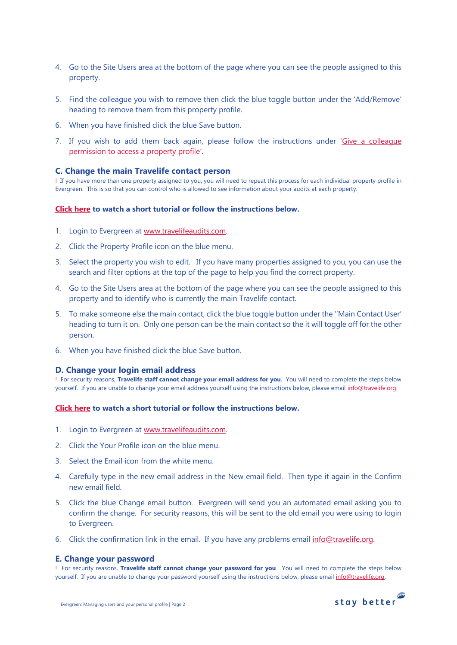- 4. Go to the Site Users area at the bottom of the page where you can see the people assigned to this property.
- 5. Find the colleague you wish to remove then click the blue toggle button under the 'Add/Remove' heading to remove them from this property profile.
- 6. When you have finished click the blue Save button.
- 7. If you wish to add them back again, please follow the instructions under 'Give a colleague [permission to access a property profile](#page-0-0)'.

### <span id="page-1-0"></span>**C. Change the main Travelife contact person**

! If you have more than one property assigned to you, you will need to repeat this process for each individual property profile in Evergreen. This is so that you can control who is allowed to see information about your audits at each property.

### **[Click here](https://youtu.be/qNL4ZKf3ie0) to watch a short tutorial or follow the instructions below.**

- 1. Login to Evergreen at [www.travelifeaudits.com.](http://www.travelifeaudits.com/)
- 2. Click the Property Profile icon on the blue menu.
- 3. Select the property you wish to edit. If you have many properties assigned to you, you can use the search and filter options at the top of the page to help you find the correct property.
- 4. Go to the Site Users area at the bottom of the page where you can see the people assigned to this property and to identify who is currently the main Travelife contact.
- 5. To make someone else the main contact, click the blue toggle button under the ''Main Contact User' heading to turn it on. Only one person can be the main contact so the it will toggle off for the other person.
- 6. When you have finished click the blue Save button.

### <span id="page-1-1"></span>**D. Change your login email address**

! For security reasons, **Travelife staff cannot change your email address for you**. You will need to complete the steps below yourself. If you are unable to change your email address yourself using the instructions below, please email info@travelife.org.

### **[Click here](https://youtu.be/6riZ-5a2q2Q) to watch a short tutorial or follow the instructions below.**

- 1. Login to Evergreen at [www.travelifeaudits.com.](http://www.travelifeaudits.com/)
- 2. Click the Your Profile icon on the blue menu.
- 3. Select the Email icon from the white menu.
- 4. Carefully type in the new email address in the New email field. Then type it again in the Confirm new email field.
- 5. Click the blue Change email button. Evergreen will send you an automated email asking you to confirm the change. For security reasons, this will be sent to the old email you were using to login to Evergreen.
- 6. Click the confirmation link in the email. If you have any problems email [info@travelife.org.](mailto:info@travelife.org)

### **E. Change your password**

! For security reasons, **Travelife staff cannot change your password for you**. You will need to complete the steps below yourself. If you are unable to change your password yourself using the instructions below, please email [info@travelife.org.](mailto:info@travelife.org) 

<span id="page-1-2"></span>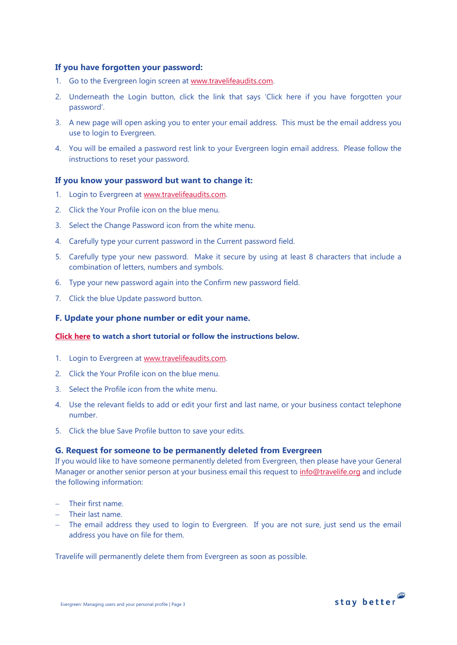# **If you have forgotten your password:**

- 1. Go to the Evergreen login screen at [www.travelifeaudits.com.](http://www.travelifeaudits.com/)
- 2. Underneath the Login button, click the link that says 'Click here if you have forgotten your password'.
- 3. A new page will open asking you to enter your email address. This must be the email address you use to login to Evergreen.
- 4. You will be emailed a password rest link to your Evergreen login email address. Please follow the instructions to reset your password.

# **If you know your password but want to change it:**

- 1. Login to Evergreen at [www.travelifeaudits.com.](http://www.travelifeaudits.com/)
- 2. Click the Your Profile icon on the blue menu.
- 3. Select the Change Password icon from the white menu.
- 4. Carefully type your current password in the Current password field.
- 5. Carefully type your new password. Make it secure by using at least 8 characters that include a combination of letters, numbers and symbols.
- 6. Type your new password again into the Confirm new password field.
- 7. Click the blue Update password button.

### <span id="page-2-0"></span>**F. Update your phone number or edit your name.**

### **[Click here](https://youtu.be/NWf5fc_xl6c) to watch a short tutorial or follow the instructions below.**

- 1. Login to Evergreen at [www.travelifeaudits.com.](http://www.travelifeaudits.com/)
- 2. Click the Your Profile icon on the blue menu.
- 3. Select the Profile icon from the white menu.
- 4. Use the relevant fields to add or edit your first and last name, or your business contact telephone number.
- 5. Click the blue Save Profile button to save your edits.

# <span id="page-2-1"></span>**G. Request for someone to be permanently deleted from Evergreen**

If you would like to have someone permanently deleted from Evergreen, then please have your General Manager or another senior person at your business email this request to [info@travelife.org](mailto:info@travelife.org) and include the following information:

- − Their first name.
- − Their last name.
- − The email address they used to login to Evergreen. If you are not sure, just send us the email address you have on file for them.

Travelife will permanently delete them from Evergreen as soon as possible.

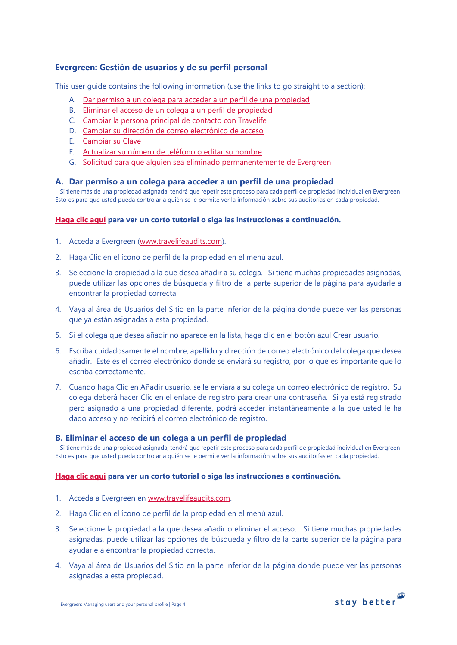# <span id="page-3-0"></span>**Evergreen: Gestión de usuarios y de su perfil personal**

This user guide contains the following information (use the links to go straight to a section):

- A. Dar permiso a un colega [para acceder a un perfil de una propiedad](#page-3-1)
- B. [Eliminar el acceso de un colega a un perfil de propiedad](#page-3-2)
- C. [Cambiar la persona principal de contacto con Travelife](#page-4-0)
- D. [Cambiar su dirección de correo electrónico de acceso](#page-4-1)
- E. [Cambiar su Clave](#page-4-2)
- F. [Actualizar su número de teléfono o editar su nombre](#page-5-0)
- G. [Solicitud para que alguien sea eliminado permanentemente de Evergreen](#page-5-1)

## <span id="page-3-1"></span>**A. Dar permiso a un colega para acceder a un perfil de una propiedad**

! Si tiene más de una propiedad asignada, tendrá que repetir este proceso para cada perfil de propiedad individual en Evergreen. Esto es para que usted pueda controlar a quién se le permite ver la información sobre sus auditorías en cada propiedad.

### **[Haga clic aquí](https://youtu.be/LXGxwgAH_Eo) para ver un corto tutorial o siga las instrucciones a continuación.**

- <span id="page-3-2"></span>1. Acceda a Evergreen [\(www.travelifeaudits.com\)](http://www.travelifeaudits.com/).
- 2. Haga Clic en el ícono de perfil de la propiedad en el menú azul.
- 3. Seleccione la propiedad a la que desea añadir a su colega. Si tiene muchas propiedades asignadas, puede utilizar las opciones de búsqueda y filtro de la parte superior de la página para ayudarle a encontrar la propiedad correcta.
- 4. Vaya al área de Usuarios del Sitio en la parte inferior de la página donde puede ver las personas que ya están asignadas a esta propiedad.
- 5. Si el colega que desea añadir no aparece en la lista, haga clic en el botón azul Crear usuario.
- 6. Escriba cuidadosamente el nombre, apellido y dirección de correo electrónico del colega que desea añadir. Este es el correo electrónico donde se enviará su registro, por lo que es importante que lo escriba correctamente.
- 7. Cuando haga Clic en Añadir usuario, se le enviará a su colega un correo electrónico de registro. Su colega deberá hacer Clic en el enlace de registro para crear una contraseña. Si ya está registrado pero asignado a una propiedad diferente, podrá acceder instantáneamente a la que usted le ha dado acceso y no recibirá el correo electrónico de registro.

### **B. Eliminar el acceso de un colega a un perfil de propiedad**

! Si tiene más de una propiedad asignada, tendrá que repetir este proceso para cada perfil de propiedad individual en Evergreen. Esto es para que usted pueda controlar a quién se le permite ver la información sobre sus auditorías en cada propiedad.

### **[Haga clic aquí](https://youtu.be/6iE989U3cQE) para ver un corto tutorial o siga las instrucciones a continuación.**

- 1. Acceda a Evergreen en [www.travelifeaudits.com.](http://www.travelifeaudits.com/)
- 2. Haga Clic en el ícono de perfil de la propiedad en el menú azul.
- 3. Seleccione la propiedad a la que desea añadir o eliminar el acceso. Si tiene muchas propiedades asignadas, puede utilizar las opciones de búsqueda y filtro de la parte superior de la página para ayudarle a encontrar la propiedad correcta.
- 4. Vaya al área de Usuarios del Sitio en la parte inferior de la página donde puede ver las personas asignadas a esta propiedad.

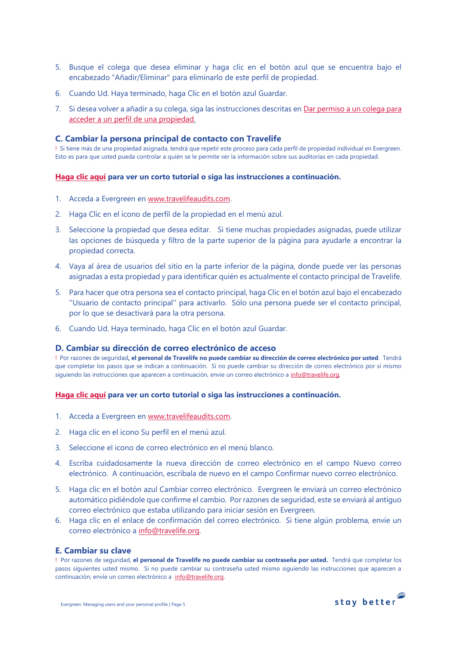- 5. Busque el colega que desea eliminar y haga clic en el botón azul que se encuentra bajo el encabezado "Añadir/Eliminar" para eliminarlo de este perfil de propiedad.
- 6. Cuando Ud. Haya terminado, haga Clic en el botón azul Guardar.
- 7. Si desea volver a añadir a su colega, siga las instrucciones descritas en Dar permiso a un colega para [acceder a un perfil de una propiedad.](#page-3-1)

# <span id="page-4-0"></span>**C. Cambiar la persona principal de contacto con Travelife**

! Si tiene más de una propiedad asignada, tendrá que repetir este proceso para cada perfil de propiedad individual en Evergreen. Esto es para que usted pueda controlar a quién se le permite ver la información sobre sus auditorías en cada propiedad.

### **[Haga clic aquí](https://youtu.be/qNL4ZKf3ie0) para ver un corto tutorial o siga las instrucciones a continuación.**

- 1. Acceda a Evergreen en [www.travelifeaudits.com.](http://www.travelifeaudits.com/)
- 2. Haga Clic en el ícono de perfil de la propiedad en el menú azul.
- 3. Seleccione la propiedad que desea editar. Si tiene muchas propiedades asignadas, puede utilizar las opciones de búsqueda y filtro de la parte superior de la página para ayudarle a encontrar la propiedad correcta.
- 4. Vaya al área de usuarios del sitio en la parte inferior de la página, donde puede ver las personas asignadas a esta propiedad y para identificar quién es actualmente el contacto principal de Travelife.
- 5. Para hacer que otra persona sea el contacto principal, haga Clic en el botón azul bajo el encabezado ''Usuario de contacto principal'' para activarlo. Sólo una persona puede ser el contacto principal, por lo que se desactivará para la otra persona.
- 6. Cuando Ud. Haya terminado, haga Clic en el botón azul Guardar.

### <span id="page-4-1"></span>**D. Cambiar su dirección de correo electrónico de acceso**

! Por razones de seguridad**, el personal de Travelife no puede cambiar su dirección de correo electrónico por usted**. Tendrá que completar los pasos que se indican a continuación. Si no puede cambiar su dirección de correo electrónico por sí mismo siguiendo las instrucciones que aparecen a continuación, envíe un correo electrónico a [info@travelife.org.](mailto:info@travelife.org) 

### **[Haga clic aquí](https://youtu.be/6riZ-5a2q2Q) para ver un corto tutorial o siga las instrucciones a continuación.**

- 1. Acceda a Evergreen en [www.travelifeaudits.com.](http://www.travelifeaudits.com/)
- 2. Haga clic en el icono Su perfil en el menú azul.
- 3. Seleccione el icono de correo electrónico en el menú blanco.
- 4. Escriba cuidadosamente la nueva dirección de correo electrónico en el campo Nuevo correo electrónico. A continuación, escríbala de nuevo en el campo Confirmar nuevo correo electrónico.
- 5. Haga clic en el botón azul Cambiar correo electrónico. Evergreen le enviará un correo electrónico automático pidiéndole que confirme el cambio. Por razones de seguridad, este se enviará al antiguo correo electrónico que estaba utilizando para iniciar sesión en Evergreen.
- 6. Haga clic en el enlace de confirmación del correo electrónico. Si tiene algún problema, envíe un correo electrónico a [info@travelife.org.](mailto:info@travelife.org)

### <span id="page-4-2"></span>**E. Cambiar su clave**

! Por razones de seguridad, **el personal de Travelife no puede cambiar su contraseña por usted.** Tendrá que completar los pasos siguientes usted mismo. Si no puede cambiar su contraseña usted mismo siguiendo las instrucciones que aparecen a continuación, envíe un correo electrónico a [info@travelife.org.](mailto:info@travelife.org)